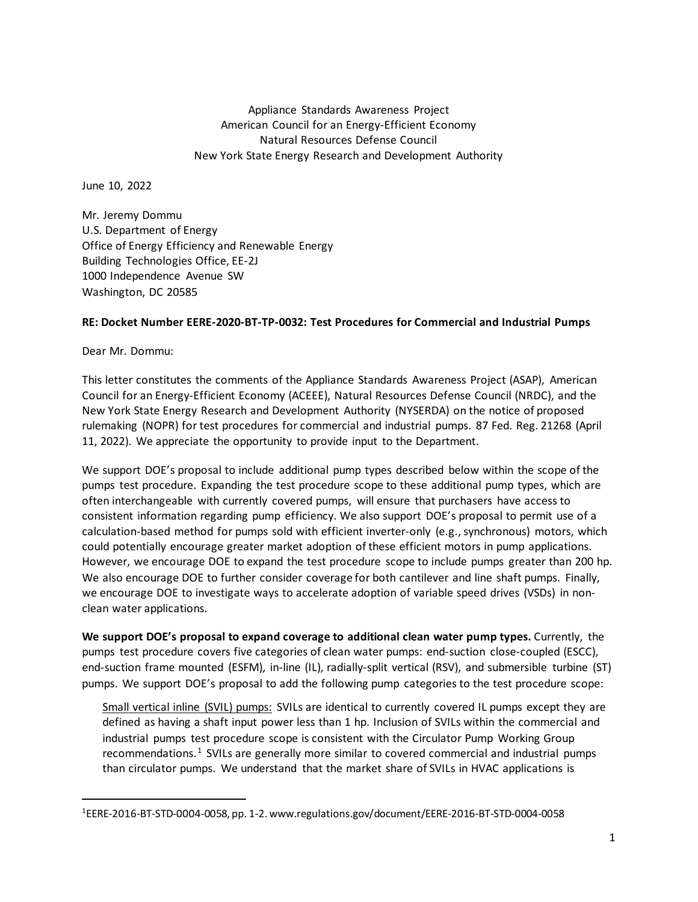Appliance Standards Awareness Project American Council for an Energy-Efficient Economy Natural Resources Defense Council New York State Energy Research and Development Authority

June 10, 2022

Mr. Jeremy Dommu U.S. Department of Energy Office of Energy Efficiency and Renewable Energy Building Technologies Office, EE-2J 1000 Independence Avenue SW Washington, DC 20585

## **RE: Docket Number EERE-2020-BT-TP-0032: Test Procedures for Commercial and Industrial Pumps**

Dear Mr. Dommu:

This letter constitutes the comments of the Appliance Standards Awareness Project (ASAP), American Council for an Energy-Efficient Economy (ACEEE), Natural Resources Defense Council (NRDC), and the New York State Energy Research and Development Authority (NYSERDA) on the notice of proposed rulemaking (NOPR) for test procedures for commercial and industrial pumps. 87 Fed. Reg. 21268 (April 11, 2022). We appreciate the opportunity to provide input to the Department.

We support DOE's proposal to include additional pump types described below within the scope of the pumps test procedure. Expanding the test procedure scope to these additional pump types, which are often interchangeable with currently covered pumps, will ensure that purchasers have access to consistent information regarding pump efficiency. We also support DOE's proposal to permit use of a calculation-based method for pumps sold with efficient inverter-only (e.g., synchronous) motors, which could potentially encourage greater market adoption of these efficient motors in pump applications. However, we encourage DOE to expand the test procedure scope to include pumps greater than 200 hp. We also encourage DOE to further consider coverage for both cantilever and line shaft pumps. Finally, we encourage DOE to investigate ways to accelerate adoption of variable speed drives (VSDs) in nonclean water applications.

**We support DOE's proposal to expand coverage to additional clean water pump types.** Currently, the pumps test procedure covers five categories of clean water pumps: end-suction close-coupled (ESCC), end-suction frame mounted (ESFM), in-line (IL), radially-split vertical (RSV), and submersible turbine (ST) pumps. We support DOE's proposal to add the following pump categories to the test procedure scope:

Small vertical inline (SVIL) pumps: SVILs are identical to currently covered IL pumps except they are defined as having a shaft input power less than 1 hp. Inclusion of SVILs within the commercial and industrial pumps test procedure scope is consistent with the Circulator Pump Working Group recommendations.<sup>[1](#page-0-0)</sup> SVILs are generally more similar to covered commercial and industrial pumps than circulator pumps. We understand that the market share of SVILs in HVAC applications is

<span id="page-0-0"></span><sup>1</sup> EERE-2016-BT-STD-0004-0058, pp. 1-2. www.regulations.gov/document/EERE-2016-BT-STD-0004-0058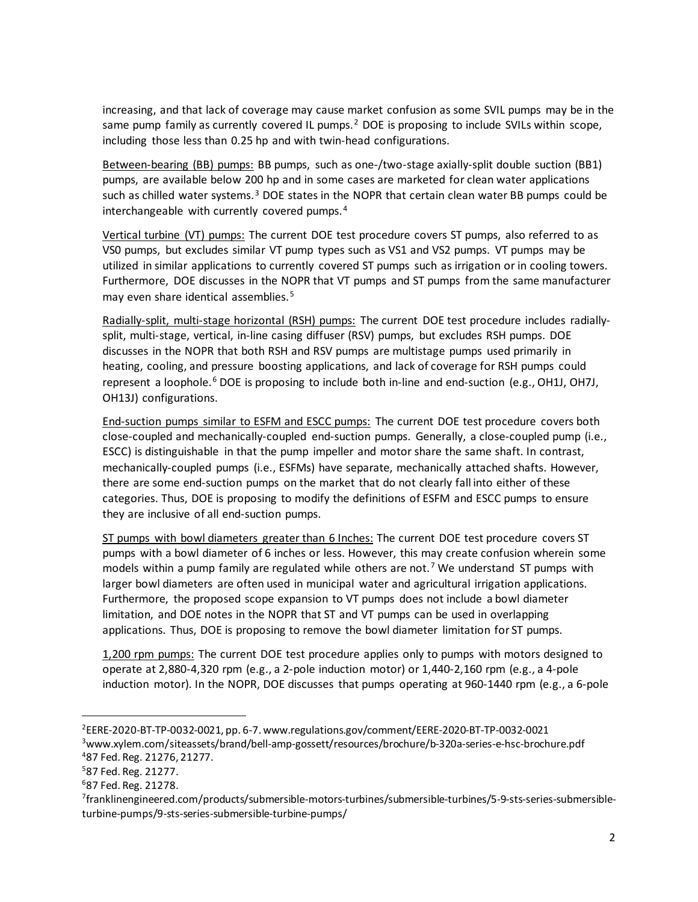increasing, and that lack of coverage may cause market confusion as some SVIL pumps may be in the same pump family as currently covered IL pumps.<sup>[2](#page-1-0)</sup> DOE is proposing to include SVILs within scope, including those less than 0.25 hp and with twin-head configurations.

Between-bearing (BB) pumps: BB pumps, such as one-/two-stage axially-split double suction (BB1) pumps, are available below 200 hp and in some cases are marketed for clean water applications such as chilled water systems.<sup>[3](#page-1-1)</sup> DOE states in the NOPR that certain clean water BB pumps could be interchangeable with currently covered pumps. $4$ 

Vertical turbine (VT) pumps: The current DOE test procedure covers ST pumps, also referred to as VS0 pumps, but excludes similar VT pump types such as VS1 and VS2 pumps. VT pumps may be utilized in similar applications to currently covered ST pumps such as irrigation or in cooling towers. Furthermore, DOE discusses in the NOPR that VT pumps and ST pumps from the same manufacturer may even share identical assemblies.<sup>[5](#page-1-3)</sup>

Radially-split, multi-stage horizontal (RSH) pumps: The current DOE test procedure includes radiallysplit, multi-stage, vertical, in-line casing diffuser (RSV) pumps, but excludes RSH pumps. DOE discusses in the NOPR that both RSH and RSV pumps are multistage pumps used primarily in heating, cooling, and pressure boosting applications, and lack of coverage for RSH pumps could represent a loophole.<sup>[6](#page-1-4)</sup> DOE is proposing to include both in-line and end-suction (e.g., OH1J, OH7J, OH13J) configurations.

End-suction pumps similar to ESFM and ESCC pumps: The current DOE test procedure covers both close-coupled and mechanically-coupled end-suction pumps. Generally, a close-coupled pump (i.e., ESCC) is distinguishable in that the pump impeller and motor share the same shaft. In contrast, mechanically-coupled pumps (i.e., ESFMs) have separate, mechanically attached shafts. However, there are some end-suction pumps on the market that do not clearly fall into either of these categories. Thus, DOE is proposing to modify the definitions of ESFM and ESCC pumps to ensure they are inclusive of all end-suction pumps.

ST pumps with bowl diameters greater than 6 Inches: The current DOE test procedure covers ST pumps with a bowl diameter of 6 inches or less. However, this may create confusion wherein some models within a pump family are regulated while others are not.<sup>[7](#page-1-5)</sup> We understand ST pumps with larger bowl diameters are often used in municipal water and agricultural irrigation applications. Furthermore, the proposed scope expansion to VT pumps does not include a bowl diameter limitation, and DOE notes in the NOPR that ST and VT pumps can be used in overlapping applications. Thus, DOE is proposing to remove the bowl diameter limitation for ST pumps.

1,200 rpm pumps: The current DOE test procedure applies only to pumps with motors designed to operate at 2,880-4,320 rpm (e.g., a 2-pole induction motor) or 1,440-2,160 rpm (e.g., a 4-pole induction motor). In the NOPR, DOE discusses that pumps operating at 960-1440 rpm (e.g., a 6-pole

<span id="page-1-1"></span><span id="page-1-0"></span><sup>2</sup>EERE-2020-BT-TP-0032-0021, pp. 6-7. www.regulations.gov/comment/EERE-2020-BT-TP-0032-0021 3www.xylem.com/siteassets/brand/bell-amp-gossett/resources/brochure/b-320a-series-e-hsc-brochure.pdf 487 Fed. Reg. 21276, 21277.

<span id="page-1-3"></span><span id="page-1-2"></span><sup>587</sup> Fed. Reg. 21277.

<span id="page-1-4"></span><sup>687</sup> Fed. Reg. 21278.

<span id="page-1-5"></span><sup>7</sup>franklinengineered.com/products/submersible-motors-turbines/submersible-turbines/5-9-sts-series-submersibleturbine-pumps/9-sts-series-submersible-turbine-pumps/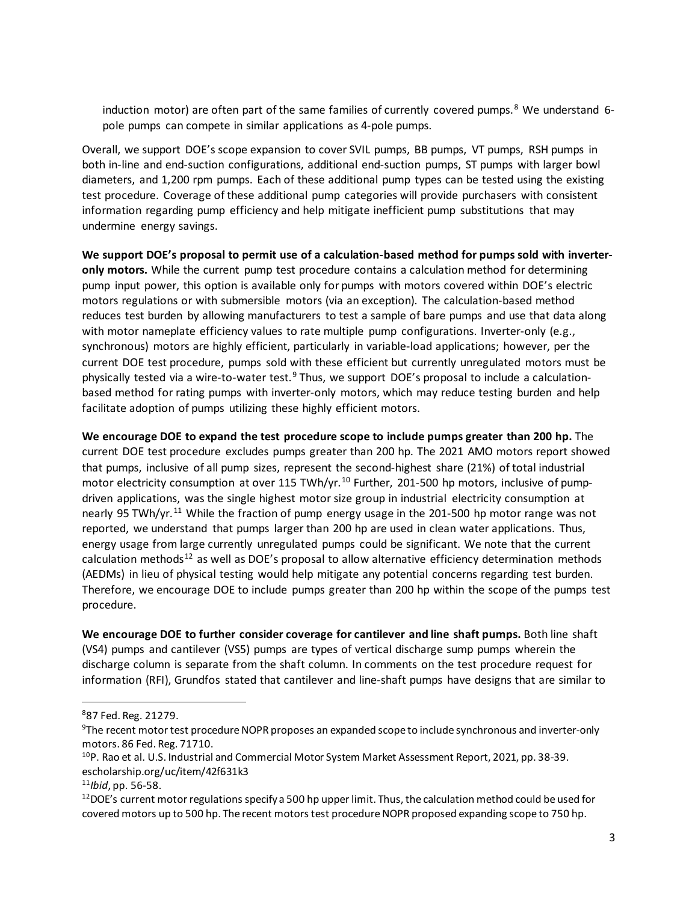induction motor) are often part of the same families of currently covered pumps.<sup>[8](#page-2-0)</sup> We understand 6pole pumps can compete in similar applications as 4-pole pumps.

Overall, we support DOE's scope expansion to cover SVIL pumps, BB pumps, VT pumps, RSH pumps in both in-line and end-suction configurations, additional end-suction pumps, ST pumps with larger bowl diameters, and 1,200 rpm pumps. Each of these additional pump types can be tested using the existing test procedure. Coverage of these additional pump categories will provide purchasers with consistent information regarding pump efficiency and help mitigate inefficient pump substitutions that may undermine energy savings.

**We support DOE's proposal to permit use of a calculation-based method for pumps sold with inverteronly motors.** While the current pump test procedure contains a calculation method for determining pump input power, this option is available only for pumps with motors covered within DOE's electric motors regulations or with submersible motors (via an exception). The calculation-based method reduces test burden by allowing manufacturers to test a sample of bare pumps and use that data along with motor nameplate efficiency values to rate multiple pump configurations. Inverter-only (e.g., synchronous) motors are highly efficient, particularly in variable-load applications; however, per the current DOE test procedure, pumps sold with these efficient but currently unregulated motors must be physically tested via a wire-to-water test.<sup>[9](#page-2-1)</sup> Thus, we support DOE's proposal to include a calculationbased method for rating pumps with inverter-only motors, which may reduce testing burden and help facilitate adoption of pumps utilizing these highly efficient motors.

**We encourage DOE to expand the test procedure scope to include pumps greater than 200 hp.** The current DOE test procedure excludes pumps greater than 200 hp. The 2021 AMO motors report showed that pumps, inclusive of all pump sizes, represent the second-highest share (21%) of total industrial motor electricity consumption at over 115 TWh/yr.<sup>[10](#page-2-2)</sup> Further, 201-500 hp motors, inclusive of pumpdriven applications, was the single highest motor size group in industrial electricity consumption at nearly 95 TWh/yr.<sup>[11](#page-2-3)</sup> While the fraction of pump energy usage in the 201-500 hp motor range was not reported, we understand that pumps larger than 200 hp are used in clean water applications. Thus, energy usage from large currently unregulated pumps could be significant. We note that the current calculation methods<sup>[12](#page-2-4)</sup> as well as DOE's proposal to allow alternative efficiency determination methods (AEDMs) in lieu of physical testing would help mitigate any potential concerns regarding test burden. Therefore, we encourage DOE to include pumps greater than 200 hp within the scope of the pumps test procedure.

**We encourage DOE to further consider coverage for cantilever and line shaft pumps.** Both line shaft (VS4) pumps and cantilever (VS5) pumps are types of vertical discharge sump pumps wherein the discharge column is separate from the shaft column. In comments on the test procedure request for information (RFI), Grundfos stated that cantilever and line-shaft pumps have designs that are similar to

<span id="page-2-0"></span><sup>887</sup> Fed. Reg. 21279.

<span id="page-2-1"></span><sup>&</sup>lt;sup>9</sup>The recent motor test procedure NOPR proposes an expanded scope to include synchronous and inverter-only motors. 86 Fed. Reg. 71710.

<span id="page-2-2"></span><sup>10</sup>P. Rao et al. U.S. Industrial and Commercial Motor System Market Assessment Report, 2021, pp. 38-39. escholarship.org/uc/item/42f631k3

<span id="page-2-4"></span><span id="page-2-3"></span><sup>&</sup>lt;sup>11</sup>*Ibid*, pp. 56-58.<br><sup>12</sup>DOE's current motor regulations specify a 500 hp upper limit. Thus, the calculation method could be used for covered motors up to 500 hp. The recent motors test procedure NOPR proposed expanding scope to 750 hp.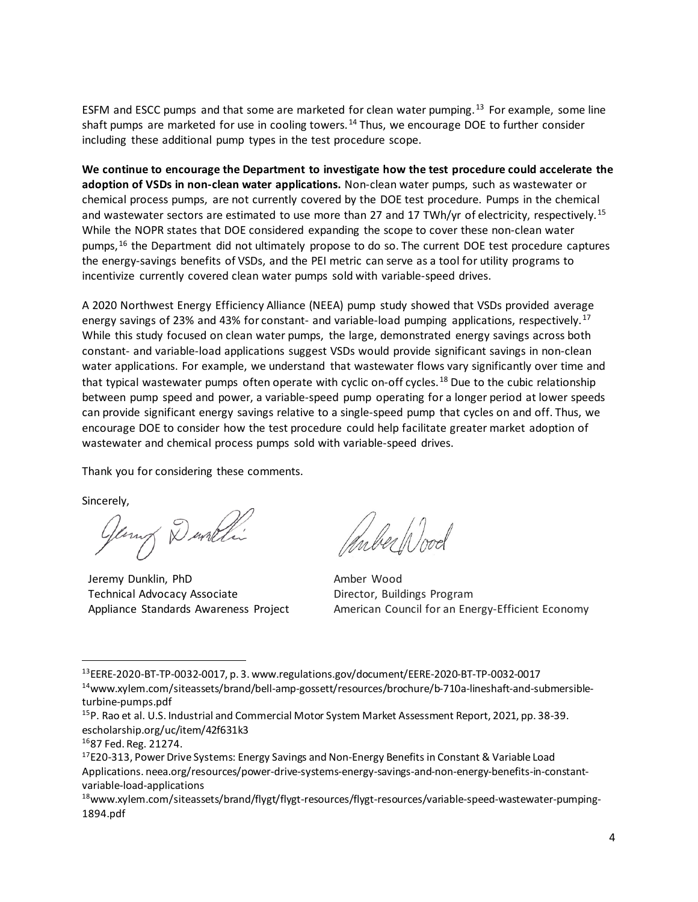ESFM and ESCC pumps and that some are marketed for clean water pumping.<sup>[13](#page-3-0)</sup> For example, some line shaft pumps are marketed for use in cooling towers.<sup>[14](#page-3-1)</sup> Thus, we encourage DOE to further consider including these additional pump types in the test procedure scope.

**We continue to encourage the Department to investigate how the test procedure could accelerate the adoption of VSDs in non-clean water applications.** Non-clean water pumps, such as wastewater or chemical process pumps, are not currently covered by the DOE test procedure. Pumps in the chemical and wastewater sectors are estimated to use more than 27 and 17 TWh/yr of electricity, respectively.<sup>[15](#page-3-2)</sup> While the NOPR states that DOE considered expanding the scope to cover these non-clean water pumps,<sup>[16](#page-3-3)</sup> the Department did not ultimately propose to do so. The current DOE test procedure captures the energy-savings benefits of VSDs, and the PEI metric can serve as a tool for utility programs to incentivize currently covered clean water pumps sold with variable-speed drives.

A 2020 Northwest Energy Efficiency Alliance (NEEA) pump study showed that VSDs provided average energy savings of 23% and 43% for constant- and variable-load pumping applications, respectively.<sup>[17](#page-3-4)</sup> While this study focused on clean water pumps, the large, demonstrated energy savings across both constant- and variable-load applications suggest VSDs would provide significant savings in non-clean water applications. For example, we understand that wastewater flows vary significantly over time and that typical wastewater pumps often operate with cyclic on-off cycles.<sup>[18](#page-3-5)</sup> Due to the cubic relationship between pump speed and power, a variable-speed pump operating for a longer period at lower speeds can provide significant energy savings relative to a single-speed pump that cycles on and off. Thus, we encourage DOE to consider how the test procedure could help facilitate greater market adoption of wastewater and chemical process pumps sold with variable-speed drives.

Thank you for considering these comments.

Sincerely,

George Dunchi

Jeremy Dunklin, PhD Technical Advocacy Associate Appliance Standards Awareness Project

Inber Wood

Amber Wood Director, Buildings Program American Council for an Energy-Efficient Economy

<span id="page-3-0"></span><sup>13</sup>EERE-2020-BT-TP-0032-0017, p. 3. www.regulations.gov/document/EERE-2020-BT-TP-0032-0017 14www.xylem.com/siteassets/brand/bell-amp-gossett/resources/brochure/b-710a-lineshaft-and-submersible-

<span id="page-3-1"></span>turbine-pumps.pdf

<span id="page-3-2"></span><sup>15</sup>P. Rao et al. U.S. Industrial and Commercial Motor System Market Assessment Report, 2021, pp. 38-39. escholarship.org/uc/item/42f631k3

<span id="page-3-3"></span><sup>1687</sup> Fed. Reg. 21274.

<span id="page-3-4"></span><sup>&</sup>lt;sup>17</sup>E20-313, Power Drive Systems: Energy Savings and Non-Energy Benefits in Constant & Variable Load Applications. neea.org/resources/power-drive-systems-energy-savings-and-non-energy-benefits-in-constantvariable-load-applications

<span id="page-3-5"></span><sup>&</sup>lt;sup>18</sup>www.xylem.com/siteassets/brand/flygt/flygt-resources/flygt-resources/variable-speed-wastewater-pumping-1894.pdf